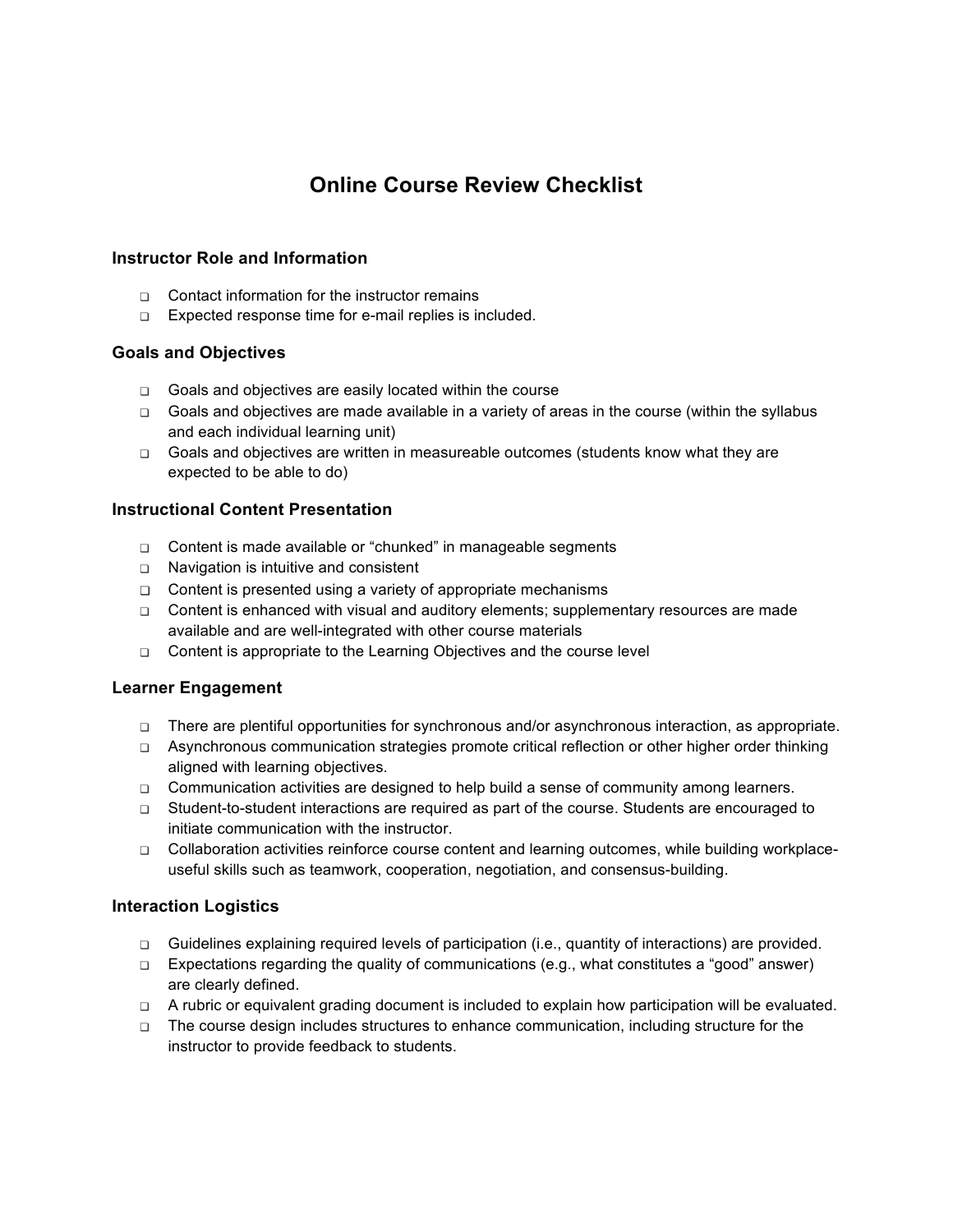# **Online Course Review Checklist**

## **Instructor Role and Information**

- ❏ Contact information for the instructor remains
- ❏ Expected response time for e-mail replies is included.

## **Goals and Objectives**

- ❏ Goals and objectives are easily located within the course
- ❏ Goals and objectives are made available in a variety of areas in the course (within the syllabus and each individual learning unit)
- ❏ Goals and objectives are written in measureable outcomes (students know what they are expected to be able to do)

## **Instructional Content Presentation**

- ❏ Content is made available or "chunked" in manageable segments
- ❏ Navigation is intuitive and consistent
- ❏ Content is presented using a variety of appropriate mechanisms
- ❏ Content is enhanced with visual and auditory elements; supplementary resources are made available and are well-integrated with other course materials
- ❏ Content is appropriate to the Learning Objectives and the course level

### **Learner Engagement**

- ❏ There are plentiful opportunities for synchronous and/or asynchronous interaction, as appropriate.
- ❏ Asynchronous communication strategies promote critical reflection or other higher order thinking aligned with learning objectives.
- ❏ Communication activities are designed to help build a sense of community among learners.
- ❏ Student-to-student interactions are required as part of the course. Students are encouraged to initiate communication with the instructor.
- ❏ Collaboration activities reinforce course content and learning outcomes, while building workplaceuseful skills such as teamwork, cooperation, negotiation, and consensus-building.

### **Interaction Logistics**

- ❏ Guidelines explaining required levels of participation (i.e., quantity of interactions) are provided.
- ❏ Expectations regarding the quality of communications (e.g., what constitutes a "good" answer) are clearly defined.
- ❏ A rubric or equivalent grading document is included to explain how participation will be evaluated.
- ❏ The course design includes structures to enhance communication, including structure for the instructor to provide feedback to students.